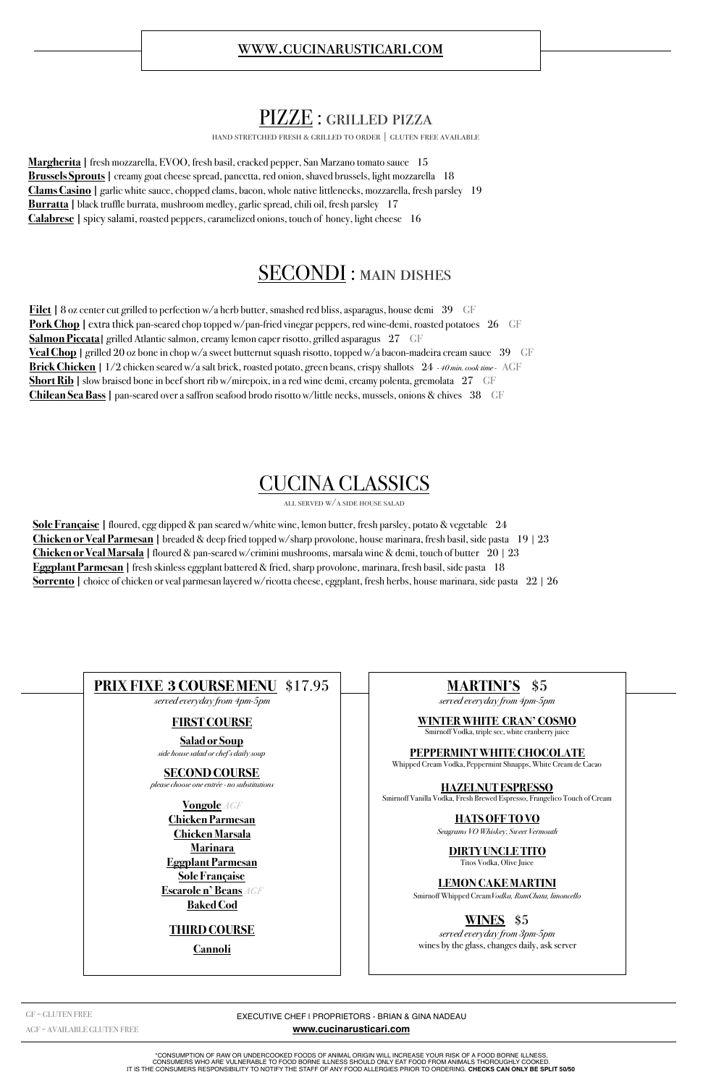### PIZZE : grilled pizza

hand stretched fresh & grilled to order | gluten free available

**Margherita |** fresh mozzarella, EVOO, fresh basil, cracked pepper, San Marzano tomato sauce 15 **Brussels Sprouts** | creamy goat cheese spread, pancetta, red onion, shaved brussels, light mozzarella 18 **Clams Casino |** garlic white sauce, chopped clams, bacon, whole native littlenecks, mozzarella, fresh parsley 19 **Burratta** | black truffle burrata, mushroom medley, garlic spread, chili oil, fresh parsley 17 **Calabrese |** spicy salami, roasted peppers, caramelized onions, touch of honey, light cheese 16

### SECONDI: MAIN DISHES

**Filet** | 8 oz center cut grilled to perfection w/a herb butter, smashed red bliss, asparagus, house demi 39 GF **Pork Chop** | extra thick pan-seared chop topped w/pan-fried vinegar peppers, red wine-demi, roasted potatoes 26 GF **Salmon Piccata** | grilled Atlantic salmon, creamy lemon caper risotto, grilled asparagus 27 GF **Veal Chop** | grilled 20 oz bone in chop w/a sweet butternut squash risotto, topped w/a bacon-madeira cream sauce 39 GF **Brick Chicken |** 1/2 chicken seared w/a salt brick, roasted potato, green beans, crispy shallots 24 *- 40 min. cook time -* AGF **Short Rib** | slow braised bone in beef short rib w/mirepoix, in a red wine demi, creamy polenta, gremolata 27 GF **Chilean Sea Bass |** pan-seared over a saffron seafood brodo risotto w/little necks, mussels, onions & chives 38 GF

# CUCINA CLASSICS

all served w/a side house salad

**Sole Française |** floured, egg dipped & pan seared w/white wine, lemon butter, fresh parsley, potato & vegetable 24 **Chicken or Veal Parmesan |** breaded & deep fried topped w/sharp provolone, house marinara, fresh basil, side pasta 19 | 23 **Chicken or Veal Marsala |** floured & pan-seared w/crimini mushrooms, marsala wine & demi, touch of butter 20 | 23 **Eggplant Parmesan |** fresh skinless eggplant battered & fried, sharp provolone, marinara, fresh basil, side pasta 18 **Sorrento |** choice of chicken or veal parmesan layered w/ricotta cheese, eggplant, fresh herbs, house marinara, side pasta 22 | 26

EXECUTIVE CHEF | PROPRIETORS - BRIAN & GINA NADEAU

**[www.cucinarusticari.com](http://www.cucinarusticari.com)**

\*CONSUMPTION OF RAW OR UNDERCOOKED FOODS OF ANIMAL ORIGIN WILL INCREASE YOUR RISK OF A FOOD BORNE ILLNESS. CONSUMERS WHO ARE VULNERABLE TO FOOD BORNE ILLNESS SHOULD ONLY EAT FOOD FROM ANIMALS THOROUGHLY COOKED. IT IS THE CONSUMERS RESPONSIBILITY TO NOTIFY THE STAFF OF ANY FOOD ALLERGIES PRIOR TO ORDERING. **CHECKS CAN ONLY BE SPLIT 50/50**

GF = GLUTEN FREE

AGF = AVAILABLE GLUTEN FREE

### **PRIX FIXE 3 COURSE MENU** \$17.95

*served everyday from 4pm-5pm* 

#### **FIRST COURSE**

**Salad or Soup** *side house salad or chef's daily soup* 

#### **SECOND COURSE**

*please choose one entrée - no substitutions* 

**Vongole** *AGF* **Chicken Parmesan Chicken Marsala Marinara Eggplant Parmesan Sole Française Escarole n' Beans** *AGF*  **Baked Cod THIRD COURSE Cannoli**

### **MARTINI'S** \$5

*served everyday from 4pm-5pm* 

#### **WINTER WHITE CRAN' COSMO**

Smirnoff Vodka, triple sec, white cranberry juice

#### **PEPPERMINT WHITE CHOCOLATE**

Whipped Cream Vodka, Peppermint Shnapps, White Cream de Cacao

#### **HAZELNUT ESPRESSO**

Smirnoff Vanilla Vodka, Fresh Brewed Espresso, Frangelico Touch of Cream

#### **HATS OFF TO VO**

*Seagrams VO Whiskey, Sweet Vermouth* 

**DIRTY UNCLE TITO**  Titos Vodka, Olive Juice

#### **LEMON CAKE MARTINI**

Smirnoff Whipped Cream*Vodka, RumChata, limoncello* 

### **WINES** \$5

*served everyday from 3pm-5pm*  wines by the glass, changes daily, ask server